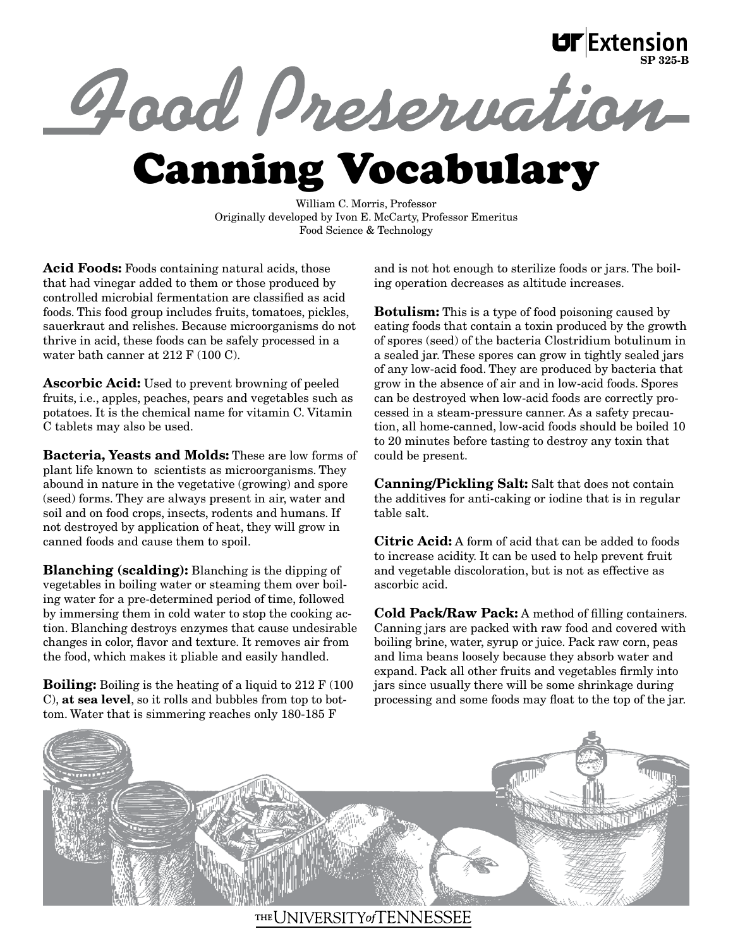## Good Preservation  $\text{UT}$  Extension

William C. Morris, Professor Originally developed by Ivon E. McCarty, Professor Emeritus Food Science & Technology

Acid Foods: Foods containing natural acids, those that had vinegar added to them or those produced by controlled microbial fermentation are classified as acid foods. This food group includes fruits, tomatoes, pickles, sauerkraut and relishes. Because microorganisms do not thrive in acid, these foods can be safely processed in a water bath canner at 212 F (100 C).

Ascorbic Acid: Used to prevent browning of peeled fruits, i.e., apples, peaches, pears and vegetables such as potatoes. It is the chemical name for vitamin C. Vitamin C tablets may also be used.

Bacteria, Yeasts and Molds: These are low forms of plant life known to scientists as microorganisms. They abound in nature in the vegetative (growing) and spore (seed) forms. They are always present in air, water and soil and on food crops, insects, rodents and humans. If not destroyed by application of heat, they will grow in canned foods and cause them to spoil.

Blanching (scalding): Blanching is the dipping of vegetables in boiling water or steaming them over boiling water for a pre-determined period of time, followed by immersing them in cold water to stop the cooking action. Blanching destroys enzymes that cause undesirable changes in color, flavor and texture. It removes air from the food, which makes it pliable and easily handled.

Boiling: Boiling is the heating of a liquid to 212 F (100 C), at sea level, so it rolls and bubbles from top to bottom. Water that is simmering reaches only 180-185 F

and is not hot enough to sterilize foods or jars. The boiling operation decreases as altitude increases.

**Botulism:** This is a type of food poisoning caused by eating foods that contain a toxin produced by the growth of spores (seed) of the bacteria Clostridium botulinum in a sealed jar. These spores can grow in tightly sealed jars of any low-acid food. They are produced by bacteria that grow in the absence of air and in low-acid foods. Spores can be destroyed when low-acid foods are correctly processed in a steam-pressure canner. As a safety precaution, all home-canned, low-acid foods should be boiled 10 to 20 minutes before tasting to destroy any toxin that could be present.

Canning/Pickling Salt: Salt that does not contain the additives for anti-caking or iodine that is in regular table salt.

Citric Acid: A form of acid that can be added to foods to increase acidity. It can be used to help prevent fruit and vegetable discoloration, but is not as effective as ascorbic acid.

Cold Pack/Raw Pack: A method of filling containers. Canning jars are packed with raw food and covered with boiling brine, water, syrup or juice. Pack raw corn, peas and lima beans loosely because they absorb water and expand. Pack all other fruits and vegetables firmly into jars since usually there will be some shrinkage during processing and some foods may float to the top of the jar.



THE UNIVERSITY of TENNESSEE